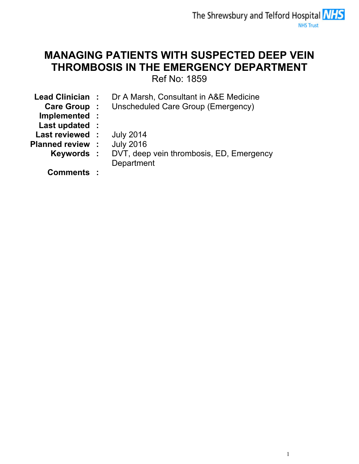# MANAGING PATIENTS WITH SUSPECTED DEEP VEIN THROMBOSIS IN THE EMERGENCY DEPARTMENT

Ref No: 1859

| Lead Clinician:         | Dr A Marsh, Consultant in A&E Medicine   |
|-------------------------|------------------------------------------|
| <b>Care Group :</b>     | Unscheduled Care Group (Emergency)       |
| Implemented :           |                                          |
| Last updated :          |                                          |
| Last reviewed:          | <b>July 2014</b>                         |
| <b>Planned review :</b> | <b>July 2016</b>                         |
| Keywords :              | DVT, deep vein thrombosis, ED, Emergency |
|                         | Department                               |
| Comments :              |                                          |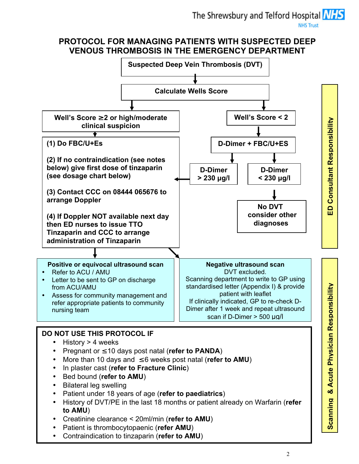# PROTOCOL FOR MANAGING PATIENTS WITH SUSPECTED DEEP VENOUS THROMBOSIS IN THE EMERGENCY DEPARTMENT

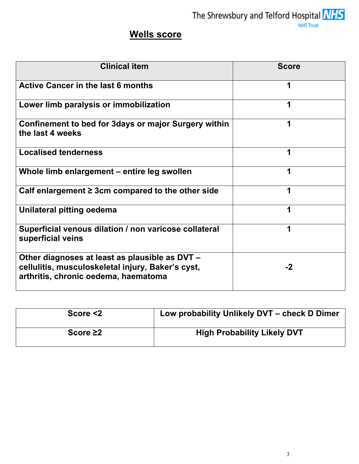The Shrewsbury and Telford Hospital  $NIS$ 

# Wells score

| <b>Clinical item</b>                                                                                                                        | <b>Score</b> |  |  |  |
|---------------------------------------------------------------------------------------------------------------------------------------------|--------------|--|--|--|
| <b>Active Cancer in the last 6 months</b>                                                                                                   |              |  |  |  |
| Lower limb paralysis or immobilization                                                                                                      |              |  |  |  |
| Confinement to bed for 3days or major Surgery within<br>the last 4 weeks                                                                    | 1            |  |  |  |
| <b>Localised tenderness</b>                                                                                                                 |              |  |  |  |
| Whole limb enlargement - entire leg swollen                                                                                                 |              |  |  |  |
| Calf enlargement $\geq$ 3cm compared to the other side                                                                                      |              |  |  |  |
| Unilateral pitting oedema                                                                                                                   | 1            |  |  |  |
| Superficial venous dilation / non varicose collateral<br>superficial veins                                                                  | 1            |  |  |  |
| Other diagnoses at least as plausible as DVT -<br>cellulitis, musculoskeletal injury, Baker's cyst,<br>arthritis, chronic oedema, haematoma | $-2$         |  |  |  |

| Score $<$ 2    | Low probability Unlikely DVT - check D Dimer |
|----------------|----------------------------------------------|
| Score $\geq 2$ | <b>High Probability Likely DVT</b>           |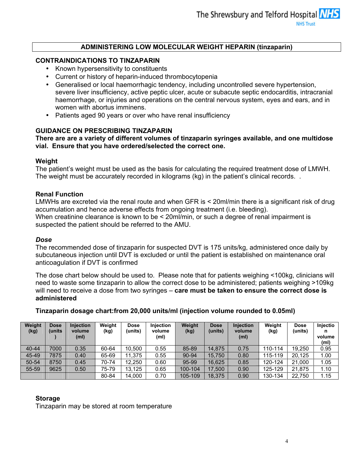## ADMINISTERING LOW MOLECULAR WEIGHT HEPARIN (tinzaparin)

## CONTRAINDICATIONS TO TINZAPARIN

- Known hypersensitivity to constituents
- Current or history of heparin-induced thrombocytopenia
- Generalised or local haemorrhagic tendency, including uncontrolled severe hypertension, severe liver insufficiency, active peptic ulcer, acute or subacute septic endocarditis, intracranial haemorrhage, or injuries and operations on the central nervous system, eyes and ears, and in women with abortus imminens.
- Patients aged 90 years or over who have renal insufficiency

### GUIDANCE ON PRESCRIBING TINZAPARIN

There are are a variety of different volumes of tinzaparin syringes available, and one multidose vial. Ensure that you have ordered/selected the correct one.

#### Weight

The patient's weight must be used as the basis for calculating the required treatment dose of LMWH. The weight must be accurately recorded in kilograms (kg) in the patient's clinical records. .

#### Renal Function

LMWHs are excreted via the renal route and when GFR is < 20ml/min there is a significant risk of drug accumulation and hence adverse effects from ongoing treatment (i.e. bleeding). When creatinine clearance is known to be < 20ml/min, or such a degree of renal impairment is suspected the patient should be referred to the AMU.

#### Dose

The recommended dose of tinzaparin for suspected DVT is 175 units/kg, administered once daily by subcutaneous injection until DVT is excluded or until the patient is established on maintenance oral anticoagulation if DVT is confirmed

The dose chart below should be used to. Please note that for patients weighing <100kg, clinicians will need to waste some tinzaparin to allow the correct dose to be administered; patients weighing >109kg will need to receive a dose from two syringes – care must be taken to ensure the correct dose is administered

Tinzaparin dosage chart:from 20,000 units/ml (injection volume rounded to 0.05ml)

| Weight<br>(kg) | <b>Dose</b><br>(units | <b>Injection</b><br>volume<br>(m <sub>l</sub> ) | Weight<br>(kg) | <b>Dose</b><br>(units) | <b>Injection</b><br>volume<br>(m <sub>l</sub> ) | <b>Weight</b><br>(kg) | <b>Dose</b><br>(units) | Injection<br>volume<br>(m <sub>l</sub> ) | Weight<br>(kg) | <b>Dose</b><br>(units) | Injectio<br>n<br>volume<br>(ml) |
|----------------|-----------------------|-------------------------------------------------|----------------|------------------------|-------------------------------------------------|-----------------------|------------------------|------------------------------------------|----------------|------------------------|---------------------------------|
| $40 - 44$      | 7000                  | 0.35                                            | 60-64          | 10.500                 | 0.55                                            | 85-89                 | 14.875                 | 0.75                                     | 110-114        | 19.250                 | 0.95                            |
| 45-49          | 7875                  | 0.40                                            | 65-69          | 11.375                 | 0.55                                            | 90-94                 | 15.750                 | 0.80                                     | 115-119        | 20.125                 | 1.00                            |
| 50-54          | 8750                  | 0.45                                            | 70-74          | 12.250                 | 0.60                                            | 95-99                 | 16.625                 | 0.85                                     | 120-124        | 21.000                 | 1.05                            |
| 55-59          | 9625                  | 0.50                                            | 75-79          | 13.125                 | 0.65                                            | 100-104               | 17,500                 | 0.90                                     | 125-129        | 21.875                 | 1.10                            |
|                |                       |                                                 | 80-84          | 14,000                 | 0.70                                            | 105-109               | 18,375                 | 0.90                                     | 130-134        | 22,750                 | 1.15                            |

### Storage

Tinzaparin may be stored at room temperature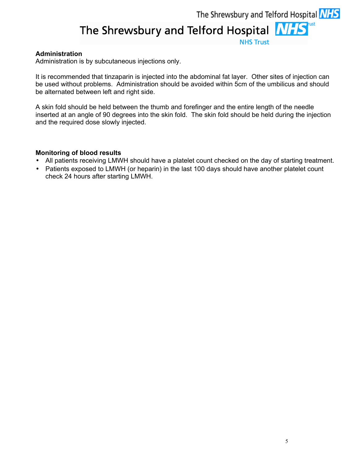## Administration

Administration is by subcutaneous injections only.

It is recommended that tinzaparin is injected into the abdominal fat layer. Other sites of injection can be used without problems. Administration should be avoided within 5cm of the umbilicus and should be alternated between left and right side.

A skin fold should be held between the thumb and forefinger and the entire length of the needle inserted at an angle of 90 degrees into the skin fold. The skin fold should be held during the injection and the required dose slowly injected.

#### Monitoring of blood results

- All patients receiving LMWH should have a platelet count checked on the day of starting treatment.
- Patients exposed to LMWH (or heparin) in the last 100 days should have another platelet count check 24 hours after starting LMWH.